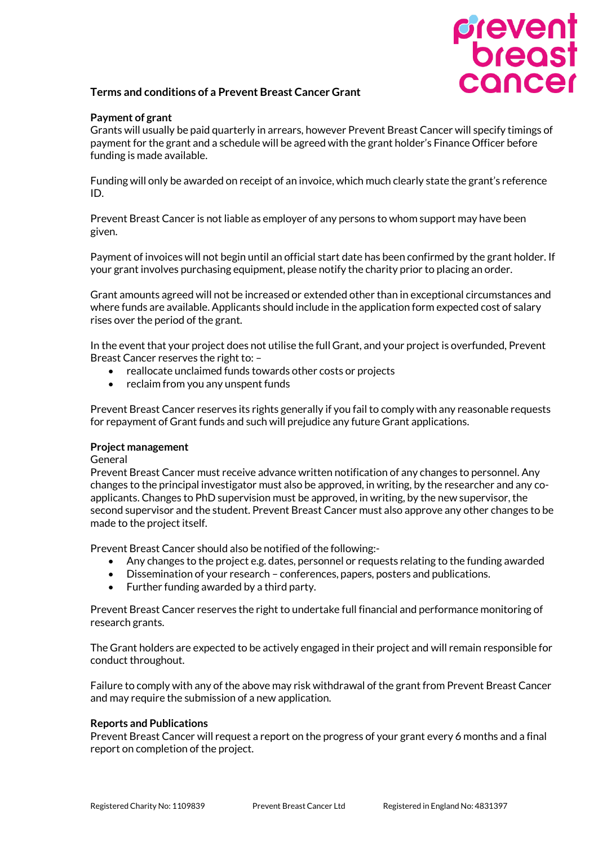# prevent<br>breast<br>cancer

# **Terms and conditions of a Prevent Breast Cancer Grant**

## **Payment of grant**

Grants will usually be paid quarterly in arrears, however Prevent Breast Cancer will specify timings of payment for the grant and a schedule will be agreed with the grant holder's Finance Officer before funding is made available.

Funding will only be awarded on receipt of an invoice, which much clearly state the grant's reference ID.

Prevent Breast Cancer is not liable as employer of any persons to whom support may have been given.

Payment of invoices will not begin until an official start date has been confirmed by the grant holder. If your grant involves purchasing equipment, please notify the charity prior to placing an order.

Grant amounts agreed will not be increased or extended other than in exceptional circumstances and where funds are available. Applicants should include in the application form expected cost of salary rises over the period of the grant.

In the event that your project does not utilise the full Grant, and your project is overfunded, Prevent Breast Cancer reserves the right to: –

- reallocate unclaimed funds towards other costs or projects
- reclaim from you any unspent funds

Prevent Breast Cancer reserves its rights generally if you fail to comply with any reasonable requests for repayment of Grant funds and such will prejudice any future Grant applications.

### **Project management**

General

Prevent Breast Cancer must receive advance written notification of any changes to personnel. Any changes to the principal investigator must also be approved, in writing, by the researcher and any coapplicants. Changes to PhD supervision must be approved, in writing, by the new supervisor, the second supervisor and the student. Prevent Breast Cancer must also approve any other changes to be made to the project itself.

Prevent Breast Cancer should also be notified of the following:-

- Any changes to the project e.g. dates, personnel or requests relating to the funding awarded
- Dissemination of your research conferences, papers, posters and publications.
- Further funding awarded by a third party.

Prevent Breast Cancer reserves the right to undertake full financial and performance monitoring of research grants.

The Grant holders are expected to be actively engaged in their project and will remain responsible for conduct throughout.

Failure to comply with any of the above may risk withdrawal of the grant from Prevent Breast Cancer and may require the submission of a new application.

### **Reports and Publications**

Prevent Breast Cancer will request a report on the progress of your grant every 6 months and a final report on completion of the project.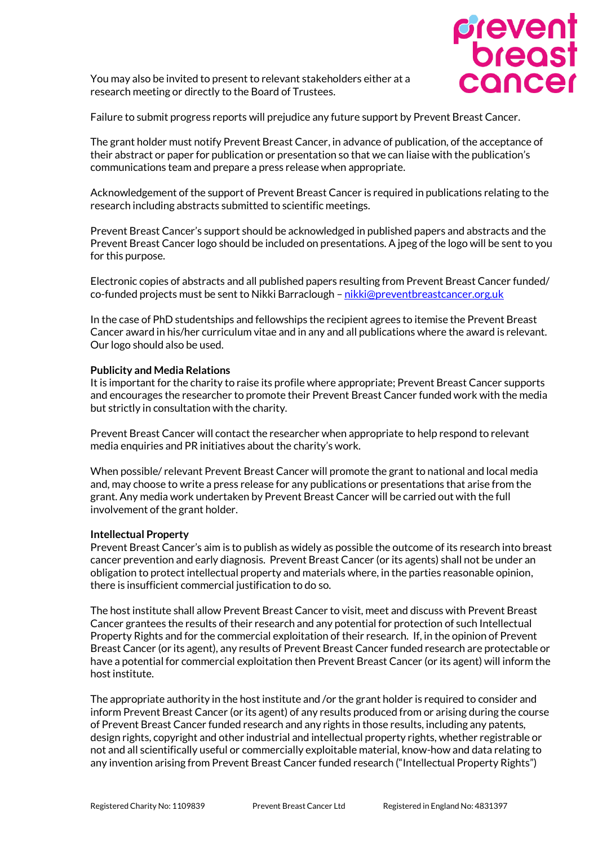

You may also be invited to present to relevant stakeholders either at a research meeting or directly to the Board of Trustees.

Failure to submit progress reports will prejudice any future support by Prevent Breast Cancer.

The grant holder must notify Prevent Breast Cancer, in advance of publication, of the acceptance of their abstract or paper for publication or presentation so that we can liaise with the publication's communications team and prepare a press release when appropriate.

Acknowledgement of the support of Prevent Breast Cancer is required in publications relating to the research including abstracts submitted to scientific meetings.

Prevent Breast Cancer's support should be acknowledged in published papers and abstracts and the Prevent Breast Cancer logo should be included on presentations. A jpeg of the logo will be sent to you for this purpose.

Electronic copies of abstracts and all published papers resulting from Prevent Breast Cancer funded/ co-funded projects must be sent to Nikki Barraclough – [nikki@preventbreastcancer.org.uk](mailto:nikki@preventbreastcancer.org.uk)

In the case of PhD studentships and fellowships the recipient agrees to itemise the Prevent Breast Cancer award in his/her curriculum vitae and in any and all publications where the award is relevant. Our logo should also be used.

### **Publicity and Media Relations**

It is important for the charity to raise its profile where appropriate; Prevent Breast Cancer supports and encourages the researcher to promote their Prevent Breast Cancer funded work with the media but strictly in consultation with the charity.

Prevent Breast Cancer will contact the researcher when appropriate to help respond to relevant media enquiries and PR initiatives about the charity's work.

When possible/ relevant Prevent Breast Cancer will promote the grant to national and local media and, may choose to write a press release for any publications or presentations that arise from the grant. Any media work undertaken by Prevent Breast Cancer will be carried out with the full involvement of the grant holder.

### **Intellectual Property**

Prevent Breast Cancer's aim is to publish as widely as possible the outcome of its research into breast cancer prevention and early diagnosis. Prevent Breast Cancer (or its agents) shall not be under an obligation to protect intellectual property and materials where, in the parties reasonable opinion, there is insufficient commercial justification to do so.

The host institute shall allow Prevent Breast Cancer to visit, meet and discuss with Prevent Breast Cancer grantees the results of their research and any potential for protection of such Intellectual Property Rights and for the commercial exploitation of their research. If, in the opinion of Prevent Breast Cancer (or its agent), any results of Prevent Breast Cancer funded research are protectable or have a potential for commercial exploitation then Prevent Breast Cancer (or its agent) will inform the host institute.

The appropriate authority in the host institute and /or the grant holder is required to consider and inform Prevent Breast Cancer (or its agent) of any results produced from or arising during the course of Prevent Breast Cancer funded research and any rights in those results, including any patents, design rights, copyright and other industrial and intellectual property rights, whether registrable or not and all scientifically useful or commercially exploitable material, know-how and data relating to any invention arising from Prevent Breast Cancer funded research ("Intellectual Property Rights")